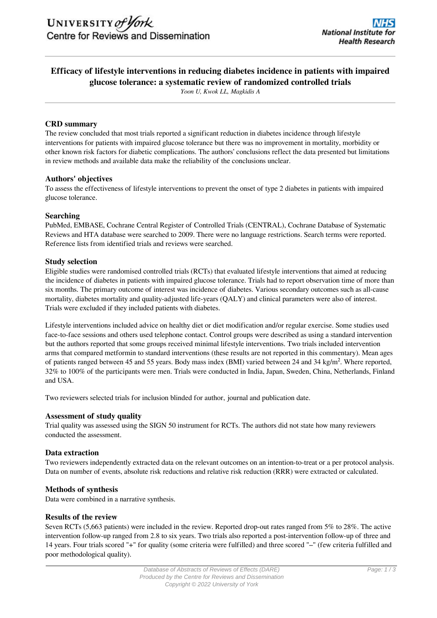# **Efficacy of lifestyle interventions in reducing diabetes incidence in patients with impaired glucose tolerance: a systematic review of randomized controlled trials**

*Yoon U, Kwok LL, Magkidis A*

#### **CRD summary**

The review concluded that most trials reported a significant reduction in diabetes incidence through lifestyle interventions for patients with impaired glucose tolerance but there was no improvement in mortality, morbidity or other known risk factors for diabetic complications. The authors' conclusions reflect the data presented but limitations in review methods and available data make the reliability of the conclusions unclear.

#### **Authors' objectives**

To assess the effectiveness of lifestyle interventions to prevent the onset of type 2 diabetes in patients with impaired glucose tolerance.

#### **Searching**

PubMed, EMBASE, Cochrane Central Register of Controlled Trials (CENTRAL), Cochrane Database of Systematic Reviews and HTA database were searched to 2009. There were no language restrictions. Search terms were reported. Reference lists from identified trials and reviews were searched.

### **Study selection**

Eligible studies were randomised controlled trials (RCTs) that evaluated lifestyle interventions that aimed at reducing the incidence of diabetes in patients with impaired glucose tolerance. Trials had to report observation time of more than six months. The primary outcome of interest was incidence of diabetes. Various secondary outcomes such as all-cause mortality, diabetes mortality and quality-adjusted life-years (QALY) and clinical parameters were also of interest. Trials were excluded if they included patients with diabetes.

Lifestyle interventions included advice on healthy diet or diet modification and/or regular exercise. Some studies used face-to-face sessions and others used telephone contact. Control groups were described as using a standard intervention but the authors reported that some groups received minimal lifestyle interventions. Two trials included intervention arms that compared metformin to standard interventions (these results are not reported in this commentary). Mean ages of patients ranged between 45 and 55 years. Body mass index (BMI) varied between 24 and 34 kg/m<sup>2</sup>. Where reported, 32% to 100% of the participants were men. Trials were conducted in India, Japan, Sweden, China, Netherlands, Finland and USA.

Two reviewers selected trials for inclusion blinded for author, journal and publication date.

#### **Assessment of study quality**

Trial quality was assessed using the SIGN 50 instrument for RCTs. The authors did not state how many reviewers conducted the assessment.

#### **Data extraction**

Two reviewers independently extracted data on the relevant outcomes on an intention-to-treat or a per protocol analysis. Data on number of events, absolute risk reductions and relative risk reduction (RRR) were extracted or calculated.

#### **Methods of synthesis**

Data were combined in a narrative synthesis.

#### **Results of the review**

Seven RCTs (5,663 patients) were included in the review. Reported drop-out rates ranged from 5% to 28%. The active intervention follow-up ranged from 2.8 to six years. Two trials also reported a post-intervention follow-up of three and 14 years. Four trials scored "+" for quality (some criteria were fulfilled) and three scored "–" (few criteria fulfilled and poor methodological quality).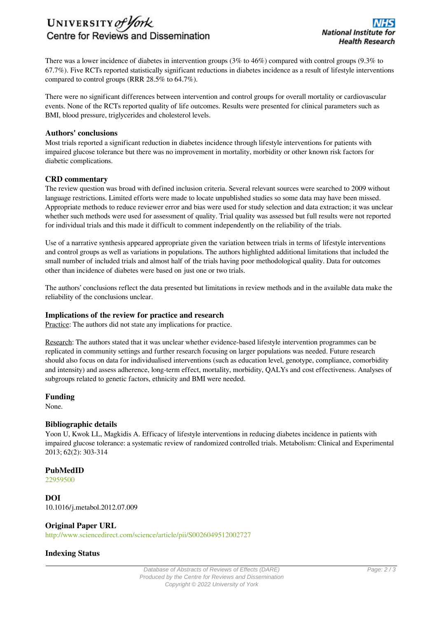# UNIVERSITY of York Centre for Reviews and Dissemination

There was a lower incidence of diabetes in intervention groups (3% to 46%) compared with control groups (9.3% to 67.7%). Five RCTs reported statistically significant reductions in diabetes incidence as a result of lifestyle interventions compared to control groups (RRR 28.5% to 64.7%).

There were no significant differences between intervention and control groups for overall mortality or cardiovascular events. None of the RCTs reported quality of life outcomes. Results were presented for clinical parameters such as BMI, blood pressure, triglycerides and cholesterol levels.

#### **Authors' conclusions**

Most trials reported a significant reduction in diabetes incidence through lifestyle interventions for patients with impaired glucose tolerance but there was no improvement in mortality, morbidity or other known risk factors for diabetic complications.

#### **CRD commentary**

The review question was broad with defined inclusion criteria. Several relevant sources were searched to 2009 without language restrictions. Limited efforts were made to locate unpublished studies so some data may have been missed. Appropriate methods to reduce reviewer error and bias were used for study selection and data extraction; it was unclear whether such methods were used for assessment of quality. Trial quality was assessed but full results were not reported for individual trials and this made it difficult to comment independently on the reliability of the trials.

Use of a narrative synthesis appeared appropriate given the variation between trials in terms of lifestyle interventions and control groups as well as variations in populations. The authors highlighted additional limitations that included the small number of included trials and almost half of the trials having poor methodological quality. Data for outcomes other than incidence of diabetes were based on just one or two trials.

The authors' conclusions reflect the data presented but limitations in review methods and in the available data make the reliability of the conclusions unclear.

#### **Implications of the review for practice and research**

Practice: The authors did not state any implications for practice.

Research: The authors stated that it was unclear whether evidence-based lifestyle intervention programmes can be replicated in community settings and further research focusing on larger populations was needed. Future research should also focus on data for individualised interventions (such as education level, genotype, compliance, comorbidity and intensity) and assess adherence, long-term effect, mortality, morbidity, QALYs and cost effectiveness. Analyses of subgroups related to genetic factors, ethnicity and BMI were needed.

#### **Funding**

None.

#### **Bibliographic details**

Yoon U, Kwok LL, Magkidis A. Efficacy of lifestyle interventions in reducing diabetes incidence in patients with impaired glucose tolerance: a systematic review of randomized controlled trials. Metabolism: Clinical and Experimental 2013; 62(2): 303-314

#### **PubMedID**

[22959500](http://www.ncbi.nlm.nih.gov/pubmed?term=22959500)

**DOI** 10.1016/j.metabol.2012.07.009

#### **Original Paper URL**

http://www.sciencedirect.com/science/article/pii/S0026049512002727

#### **Indexing Status**